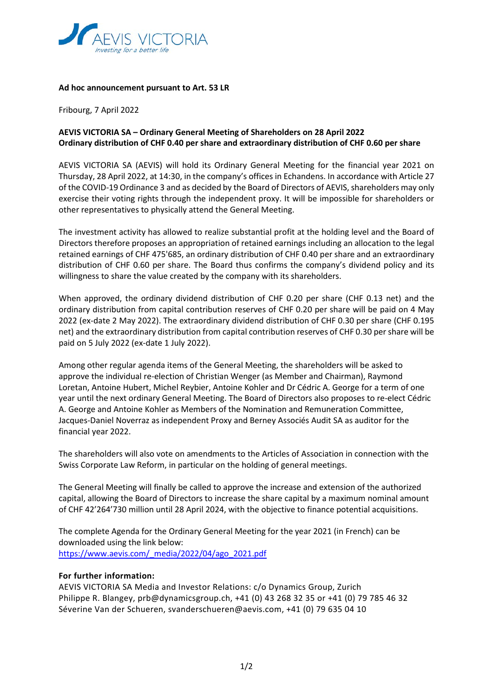

## **Ad hoc announcement pursuant to Art. 53 LR**

Fribourg, 7 April 2022

## **AEVIS VICTORIA SA – Ordinary General Meeting of Shareholders on 28 April 2022 Ordinary distribution of CHF 0.40 per share and extraordinary distribution of CHF 0.60 per share**

AEVIS VICTORIA SA (AEVIS) will hold its Ordinary General Meeting for the financial year 2021 on Thursday, 28 April 2022, at 14:30, in the company's offices in Echandens. In accordance with Article 27 of the COVID-19 Ordinance 3 and as decided by the Board of Directors of AEVIS, shareholders may only exercise their voting rights through the independent proxy. It will be impossible for shareholders or other representatives to physically attend the General Meeting.

The investment activity has allowed to realize substantial profit at the holding level and the Board of Directors therefore proposes an appropriation of retained earnings including an allocation to the legal retained earnings of CHF 475'685, an ordinary distribution of CHF 0.40 per share and an extraordinary distribution of CHF 0.60 per share. The Board thus confirms the company's dividend policy and its willingness to share the value created by the company with its shareholders.

When approved, the ordinary dividend distribution of CHF 0.20 per share (CHF 0.13 net) and the ordinary distribution from capital contribution reserves of CHF 0.20 per share will be paid on 4 May 2022 (ex-date 2 May 2022). The extraordinary dividend distribution of CHF 0.30 per share (CHF 0.195 net) and the extraordinary distribution from capital contribution reserves of CHF 0.30 per share will be paid on 5 July 2022 (ex-date 1 July 2022).

Among other regular agenda items of the General Meeting, the shareholders will be asked to approve the individual re-election of Christian Wenger (as Member and Chairman), Raymond Loretan, Antoine Hubert, Michel Reybier, Antoine Kohler and Dr Cédric A. George for a term of one year until the next ordinary General Meeting. The Board of Directors also proposes to re-elect Cédric A. George and Antoine Kohler as Members of the Nomination and Remuneration Committee, Jacques-Daniel Noverraz as independent Proxy and Berney Associés Audit SA as auditor for the financial year 2022.

The shareholders will also vote on amendments to the Articles of Association in connection with the Swiss Corporate Law Reform, in particular on the holding of general meetings.

The General Meeting will finally be called to approve the increase and extension of the authorized capital, allowing the Board of Directors to increase the share capital by a maximum nominal amount of CHF 42'264'730 million until 28 April 2024, with the objective to finance potential acquisitions.

The complete Agenda for the Ordinary General Meeting for the year 2021 (in French) can be downloaded using the link below: [https://www.aevis.com/\\_media/2022/04/ago\\_2021.pdf](https://www.aevis.com/_media/2022/04/ago_2021.pdf)

## **For further information:**

AEVIS VICTORIA SA Media and Investor Relations: c/o Dynamics Group, Zurich Philippe R. Blangey, prb@dynamicsgroup.ch, +41 (0) 43 268 32 35 or +41 (0) 79 785 46 32 Séverine Van der Schueren, svanderschueren@aevis.com, +41 (0) 79 635 04 10